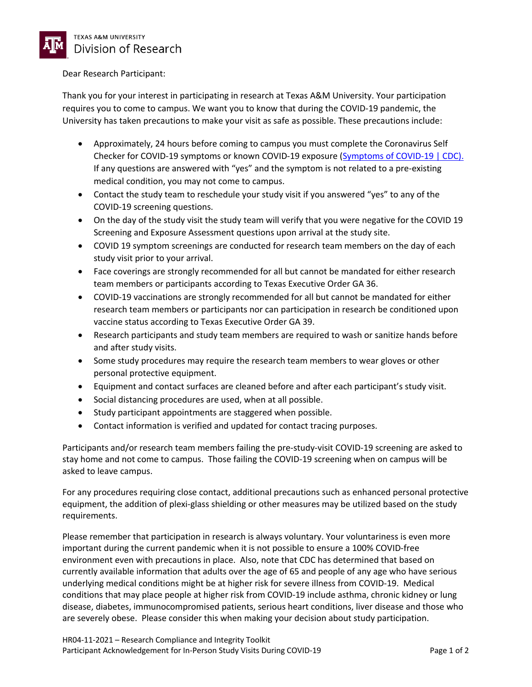

## Dear Research Participant:

Thank you for your interest in participating in research at Texas A&M University. Your participation requires you to come to campus. We want you to know that during the COVID-19 pandemic, the University has taken precautions to make your visit as safe as possible. These precautions include:

- Approximately, 24 hours before coming to campus you must complete the Coronavirus Self Checker for COVID-19 symptoms or known COVID-19 exposure (Symptoms of COVID-19 | CDC). If any questions are answered with "yes" and the symptom is not related to a pre-existing medical condition, you may not come to campus.
- Contact the study team to reschedule your study visit if you answered "yes" to any of the COVID-19 screening questions.
- On the day of the study visit the study team will verify that you were negative for the COVID 19 Screening and Exposure Assessment questions upon arrival at the study site.
- COVID 19 symptom screenings are conducted for research team members on the day of each study visit prior to your arrival.
- Face coverings are strongly recommended for all but cannot be mandated for either research team members or participants according to Texas Executive Order GA 36.
- COVID-19 vaccinations are strongly recommended for all but cannot be mandated for either research team members or participants nor can participation in research be conditioned upon vaccine status according to Texas Executive Order GA 39.
- Research participants and study team members are required to wash or sanitize hands before and after study visits.
- Some study procedures may require the research team members to wear gloves or other personal protective equipment.
- Equipment and contact surfaces are cleaned before and after each participant's study visit.
- Social distancing procedures are used, when at all possible.
- Study participant appointments are staggered when possible.
- Contact information is verified and updated for contact tracing purposes.

Participants and/or research team members failing the pre-study-visit COVID-19 screening are asked to stay home and not come to campus. Those failing the COVID-19 screening when on campus will be asked to leave campus.

For any procedures requiring close contact, additional precautions such as enhanced personal protective equipment, the addition of plexi-glass shielding or other measures may be utilized based on the study requirements.

Please remember that participation in research is always voluntary. Your voluntariness is even more important during the current pandemic when it is not possible to ensure a 100% COVID-free environment even with precautions in place. Also, note that CDC has determined that based on currently available information that adults over the age of 65 and people of any age who have serious underlying medical conditions might be at higher risk for severe illness from COVID-19. Medical conditions that may place people at higher risk from COVID-19 include asthma, chronic kidney or lung disease, diabetes, immunocompromised patients, serious heart conditions, liver disease and those who are severely obese. Please consider this when making your decision about study participation.